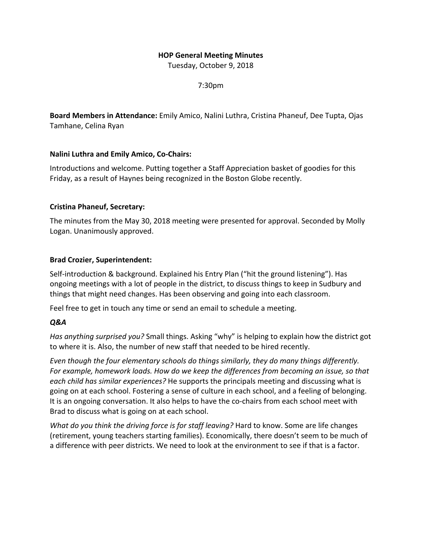# **HOP General Meeting Minutes**

Tuesday, October 9, 2018

7:30pm

**Board Members in Attendance:** Emily Amico, Nalini Luthra, Cristina Phaneuf, Dee Tupta, Ojas Tamhane, Celina Ryan

# **Nalini Luthra and Emily Amico, Co-Chairs:**

Introductions and welcome. Putting together a Staff Appreciation basket of goodies for this Friday, as a result of Haynes being recognized in the Boston Globe recently.

# **Cristina Phaneuf, Secretary:**

The minutes from the May 30, 2018 meeting were presented for approval. Seconded by Molly Logan. Unanimously approved.

# **Brad Crozier, Superintendent:**

Self-introduction & background. Explained his Entry Plan ("hit the ground listening"). Has ongoing meetings with a lot of people in the district, to discuss things to keep in Sudbury and things that might need changes. Has been observing and going into each classroom.

Feel free to get in touch any time or send an email to schedule a meeting.

# *Q&A*

*Has anything surprised you?* Small things. Asking "why" is helping to explain how the district got to where it is. Also, the number of new staff that needed to be hired recently.

*Even though the four elementary schools do things similarly, they do many things differently. For example, homework loads. How do we keep the differences from becoming an issue, so that each child has similar experiences?* He supports the principals meeting and discussing what is going on at each school. Fostering a sense of culture in each school, and a feeling of belonging. It is an ongoing conversation. It also helps to have the co-chairs from each school meet with Brad to discuss what is going on at each school.

*What do you think the driving force is for staff leaving?* Hard to know. Some are life changes (retirement, young teachers starting families). Economically, there doesn't seem to be much of a difference with peer districts. We need to look at the environment to see if that is a factor.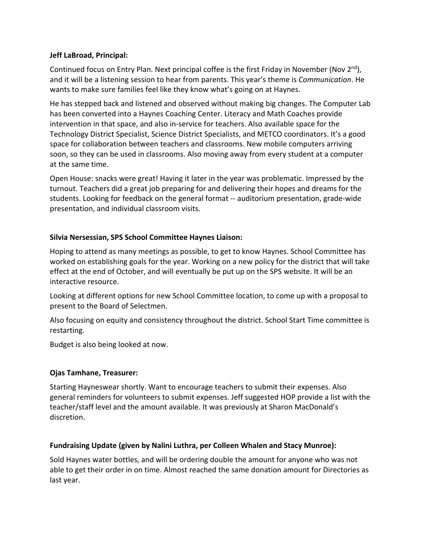# **Jeff LaBroad, Principal:**

Continued focus on Entry Plan. Next principal coffee is the first Friday in November (Nov  $2^{nd}$ ), and it will be a listening session to hear from parents. This year's theme is *Communication*. He wants to make sure families feel like they know what's going on at Haynes.

He has stepped back and listened and observed without making big changes. The Computer Lab has been converted into a Haynes Coaching Center. Literacy and Math Coaches provide intervention in that space, and also in-service for teachers. Also available space for the Technology District Specialist, Science District Specialists, and METCO coordinators. It's a good space for collaboration between teachers and classrooms. New mobile computers arriving soon, so they can be used in classrooms. Also moving away from every student at a computer at the same time.

Open House: snacks were great! Having it later in the year was problematic. Impressed by the turnout. Teachers did a great job preparing for and delivering their hopes and dreams for the students. Looking for feedback on the general format -- auditorium presentation, grade-wide presentation, and individual classroom visits.

# **Silvia Nersessian, SPS School Committee Haynes Liaison:**

Hoping to attend as many meetings as possible, to get to know Haynes. School Committee has worked on establishing goals for the year. Working on a new policy for the district that will take effect at the end of October, and will eventually be put up on the SPS website. It will be an interactive resource.

Looking at different options for new School Committee location, to come up with a proposal to present to the Board of Selectmen.

Also focusing on equity and consistency throughout the district. School Start Time committee is restarting.

Budget is also being looked at now.

#### **Ojas Tamhane, Treasurer:**

Starting Hayneswear shortly. Want to encourage teachers to submit their expenses. Also general reminders for volunteers to submit expenses. Jeff suggested HOP provide a list with the teacher/staff level and the amount available. It was previously at Sharon MacDonald's discretion.

#### **Fundraising Update (given by Nalini Luthra, per Colleen Whalen and Stacy Munroe):**

Sold Haynes water bottles, and will be ordering double the amount for anyone who was not able to get their order in on time. Almost reached the same donation amount for Directories as last year.